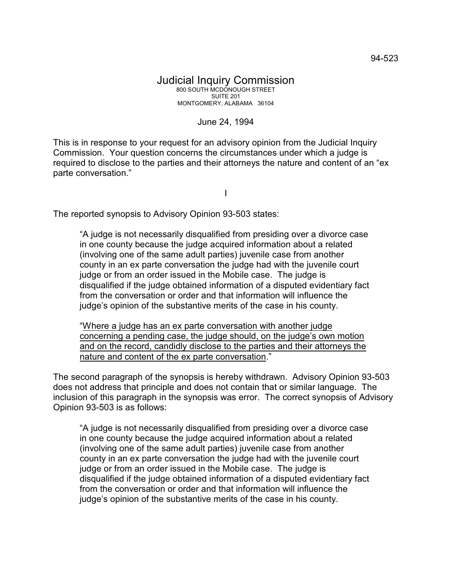## June 24, 1994

This is in response to your request for an advisory opinion from the Judicial Inquiry Commission. Your question concerns the circumstances under which a judge is required to disclose to the parties and their attorneys the nature and content of an "ex parte conversation."

I

The reported synopsis to Advisory Opinion 93-503 states:

"A judge is not necessarily disqualified from presiding over a divorce case in one county because the judge acquired information about a related (involving one of the same adult parties) juvenile case from another county in an ex parte conversation the judge had with the juvenile court judge or from an order issued in the Mobile case. The judge is disqualified if the judge obtained information of a disputed evidentiary fact from the conversation or order and that information will influence the judge's opinion of the substantive merits of the case in his county.

"Where a judge has an ex parte conversation with another judge concerning a pending case, the judge should, on the judge's own motion and on the record, candidly disclose to the parties and their attorneys the nature and content of the ex parte conversation."

The second paragraph of the synopsis is hereby withdrawn. Advisory Opinion 93-503 does not address that principle and does not contain that or similar language. The inclusion of this paragraph in the synopsis was error. The correct synopsis of Advisory Opinion 93-503 is as follows:

"A judge is not necessarily disqualified from presiding over a divorce case in one county because the judge acquired information about a related (involving one of the same adult parties) juvenile case from another county in an ex parte conversation the judge had with the juvenile court judge or from an order issued in the Mobile case. The judge is disqualified if the judge obtained information of a disputed evidentiary fact from the conversation or order and that information will influence the judge's opinion of the substantive merits of the case in his county.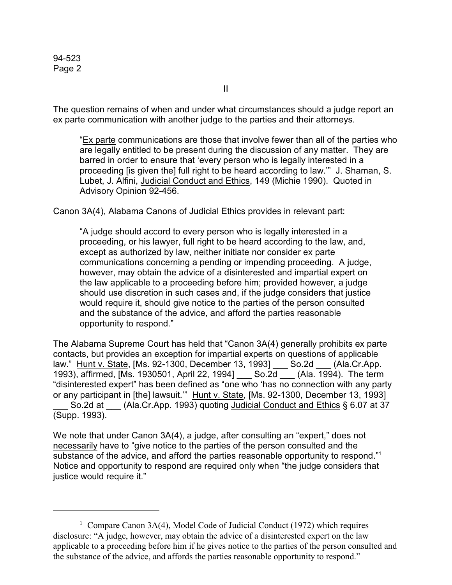94-523 Page 2

The question remains of when and under what circumstances should a judge report an ex parte communication with another judge to the parties and their attorneys.

"Ex parte communications are those that involve fewer than all of the parties who are legally entitled to be present during the discussion of any matter. They are barred in order to ensure that 'every person who is legally interested in a proceeding [is given the] full right to be heard according to law.'" J. Shaman, S. Lubet, J. Alfini, Judicial Conduct and Ethics, 149 (Michie 1990). Quoted in Advisory Opinion 92-456.

Canon 3A(4), Alabama Canons of Judicial Ethics provides in relevant part:

"A judge should accord to every person who is legally interested in a proceeding, or his lawyer, full right to be heard according to the law, and, except as authorized by law, neither initiate nor consider ex parte communications concerning a pending or impending proceeding. A judge, however, may obtain the advice of a disinterested and impartial expert on the law applicable to a proceeding before him; provided however, a judge should use discretion in such cases and, if the judge considers that justice would require it, should give notice to the parties of the person consulted and the substance of the advice, and afford the parties reasonable opportunity to respond."

The Alabama Supreme Court has held that "Canon 3A(4) generally prohibits ex parte contacts, but provides an exception for impartial experts on questions of applicable law." Hunt v. State, [Ms. 92-1300, December 13, 1993] \_\_\_ So.2d \_\_\_ (Ala.Cr.App. 1993), affirmed, [Ms. 1930501, April 22, 1994] \_\_\_ So.2d \_\_\_ (Ala. 1994). The term "disinterested expert" has been defined as "one who 'has no connection with any party or any participant in [the] lawsuit.'" Hunt v. State, [Ms. 92-1300, December 13, 1993] So.2d at (Ala.Cr.App. 1993) quoting Judicial Conduct and Ethics § 6.07 at 37 (Supp. 1993).

We note that under Canon 3A(4), a judge, after consulting an "expert," does not necessarily have to "give notice to the parties of the person consulted and the substance of the advice, and afford the parties reasonable opportunity to respond."<sup>1</sup> Notice and opportunity to respond are required only when "the judge considers that justice would require it."

<sup>&</sup>lt;sup>1</sup> Compare Canon 3A(4), Model Code of Judicial Conduct (1972) which requires disclosure: "A judge, however, may obtain the advice of a disinterested expert on the law applicable to a proceeding before him if he gives notice to the parties of the person consulted and the substance of the advice, and affords the parties reasonable opportunity to respond."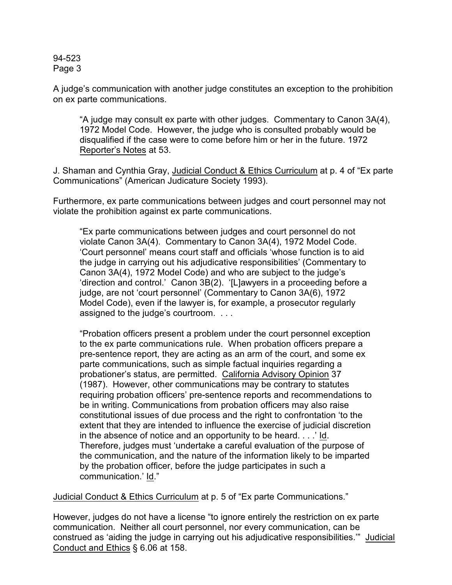94-523 Page 3

A judge's communication with another judge constitutes an exception to the prohibition on ex parte communications.

"A judge may consult ex parte with other judges. Commentary to Canon 3A(4), 1972 Model Code. However, the judge who is consulted probably would be disqualified if the case were to come before him or her in the future. 1972 Reporter's Notes at 53.

J. Shaman and Cynthia Gray, Judicial Conduct & Ethics Curriculum at p. 4 of "Ex parte Communications" (American Judicature Society 1993).

Furthermore, ex parte communications between judges and court personnel may not violate the prohibition against ex parte communications.

"Ex parte communications between judges and court personnel do not violate Canon 3A(4). Commentary to Canon 3A(4), 1972 Model Code. 'Court personnel' means court staff and officials 'whose function is to aid the judge in carrying out his adjudicative responsibilities' (Commentary to Canon 3A(4), 1972 Model Code) and who are subject to the judge's 'direction and control.' Canon 3B(2). '[L]awyers in a proceeding before a judge, are not 'court personnel' (Commentary to Canon 3A(6), 1972 Model Code), even if the lawyer is, for example, a prosecutor regularly assigned to the judge's courtroom. . . .

"Probation officers present a problem under the court personnel exception to the ex parte communications rule. When probation officers prepare a pre-sentence report, they are acting as an arm of the court, and some ex parte communications, such as simple factual inquiries regarding a probationer's status, are permitted. California Advisory Opinion 37 (1987). However, other communications may be contrary to statutes requiring probation officers' pre-sentence reports and recommendations to be in writing. Communications from probation officers may also raise constitutional issues of due process and the right to confrontation 'to the extent that they are intended to influence the exercise of judicial discretion in the absence of notice and an opportunity to be heard. . . .' Id. Therefore, judges must 'undertake a careful evaluation of the purpose of the communication, and the nature of the information likely to be imparted by the probation officer, before the judge participates in such a communication.' Id."

Judicial Conduct & Ethics Curriculum at p. 5 of "Ex parte Communications."

However, judges do not have a license "to ignore entirely the restriction on ex parte communication. Neither all court personnel, nor every communication, can be construed as 'aiding the judge in carrying out his adjudicative responsibilities.'" Judicial Conduct and Ethics § 6.06 at 158.